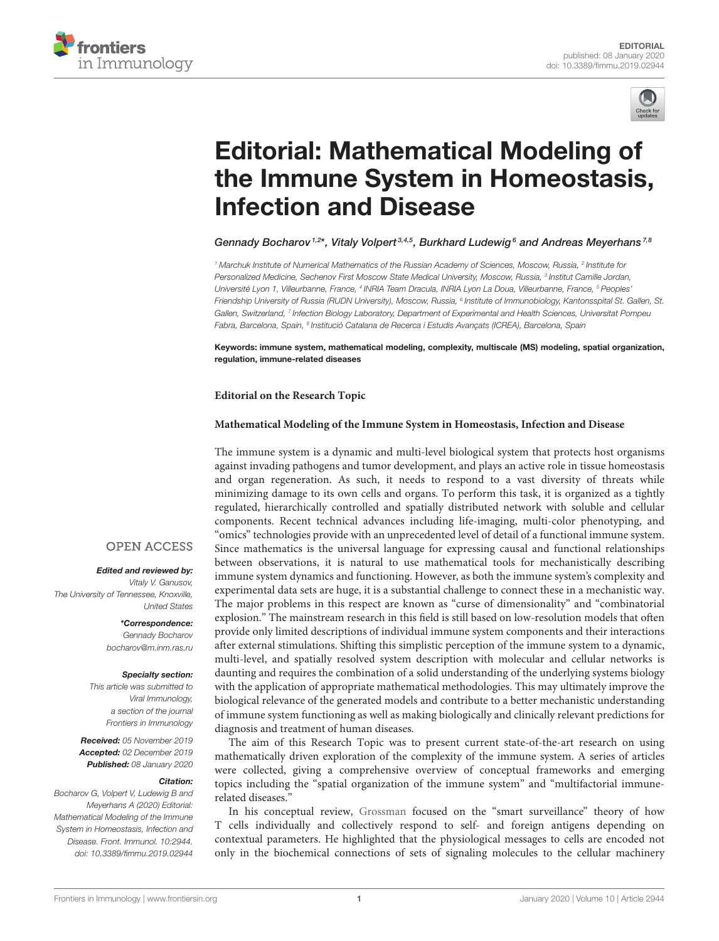



# Editorial: Mathematical Modeling of [the Immune System in Homeostasis,](https://www.frontiersin.org/articles/10.3389/fimmu.2019.02944/full) Infection and Disease

[Gennady Bocharov](http://loop.frontiersin.org/people/77618/overview)<sup>1,2\*</sup>, [Vitaly Volpert](http://loop.frontiersin.org/people/539702/overview)<sup>3,4,5</sup>, [Burkhard Ludewig](http://loop.frontiersin.org/people/30392/overview)<sup>6</sup> and [Andreas Meyerhans](http://loop.frontiersin.org/people/354029/overview)<sup>7,8</sup>

<sup>1</sup> Marchuk Institute of Numerical Mathematics of the Russian Academy of Sciences, Moscow, Russia, <sup>2</sup> Institute for Personalized Medicine, Sechenov First Moscow State Medical University, Moscow, Russia, <sup>3</sup> Institut Camille Jordan, Université Lyon 1, Villeurbanne, France, <sup>4</sup> INRIA Team Dracula, INRIA Lyon La Doua, Villeurbanne, France, <sup>s</sup> Peoples' Friendship University of Russia (RUDN University), Moscow, Russia, <sup>s</sup> Institute of Immunobiology, Kantonsspital St. Gallen, St. Gallen, Switzerland, <sup>7</sup> Infection Biology Laboratory, Department of Experimental and Health Sciences, Universitat Pompeu Fabra, Barcelona, Spain, <sup>a</sup> Institució Catalana de Recerca i Estudis Avançats (ICREA), Barcelona, Spain

Keywords: immune system, mathematical modeling, complexity, multiscale (MS) modeling, spatial organization, regulation, immune-related diseases

#### **Editorial on the Research Topic**

#### **[Mathematical Modeling of the Immune System in Homeostasis, Infection and Disease](https://www.frontiersin.org/research-topics/8141/mathematical-modeling-of-the-immune-system-in-homeostasis-infection-and-disease)**

The immune system is a dynamic and multi-level biological system that protects host organisms against invading pathogens and tumor development, and plays an active role in tissue homeostasis and organ regeneration. As such, it needs to respond to a vast diversity of threats while minimizing damage to its own cells and organs. To perform this task, it is organized as a tightly regulated, hierarchically controlled and spatially distributed network with soluble and cellular components. Recent technical advances including life-imaging, multi-color phenotyping, and "omics" technologies provide with an unprecedented level of detail of a functional immune system. Since mathematics is the universal language for expressing causal and functional relationships between observations, it is natural to use mathematical tools for mechanistically describing immune system dynamics and functioning. However, as both the immune system's complexity and experimental data sets are huge, it is a substantial challenge to connect these in a mechanistic way. The major problems in this respect are known as "curse of dimensionality" and "combinatorial explosion." The mainstream research in this field is still based on low-resolution models that often provide only limited descriptions of individual immune system components and their interactions after external stimulations. Shifting this simplistic perception of the immune system to a dynamic, multi-level, and spatially resolved system description with molecular and cellular networks is daunting and requires the combination of a solid understanding of the underlying systems biology with the application of appropriate mathematical methodologies. This may ultimately improve the biological relevance of the generated models and contribute to a better mechanistic understanding of immune system functioning as well as making biologically and clinically relevant predictions for diagnosis and treatment of human diseases.

The aim of this Research Topic was to present current state-of-the-art research on using mathematically driven exploration of the complexity of the immune system. A series of articles were collected, giving a comprehensive overview of conceptual frameworks and emerging topics including the "spatial organization of the immune system" and "multifactorial immunerelated diseases."

In his conceptual review, [Grossman](https://doi.org/10.3389/fimmu.2019.02522) focused on the "smart surveillance" theory of how T cells individually and collectively respond to self- and foreign antigens depending on contextual parameters. He highlighted that the physiological messages to cells are encoded not only in the biochemical connections of sets of signaling molecules to the cellular machinery

### **OPEN ACCESS**

Edited and reviewed by: Vitaly V. Ganusov,

The University of Tennessee, Knoxville, United States

> \*Correspondence: Gennady Bocharov [bocharov@m.inm.ras.ru](mailto:bocharov@m.inm.ras.ru)

#### Specialty section:

This article was submitted to Viral Immunology, a section of the journal Frontiers in Immunology

Received: 05 November 2019 Accepted: 02 December 2019 Published: 08 January 2020

## Citation:

Bocharov G, Volpert V, Ludewig B and Meyerhans A (2020) Editorial: Mathematical Modeling of the Immune System in Homeostasis, Infection and Disease. Front. Immunol. 10:2944. doi: [10.3389/fimmu.2019.02944](https://doi.org/10.3389/fimmu.2019.02944)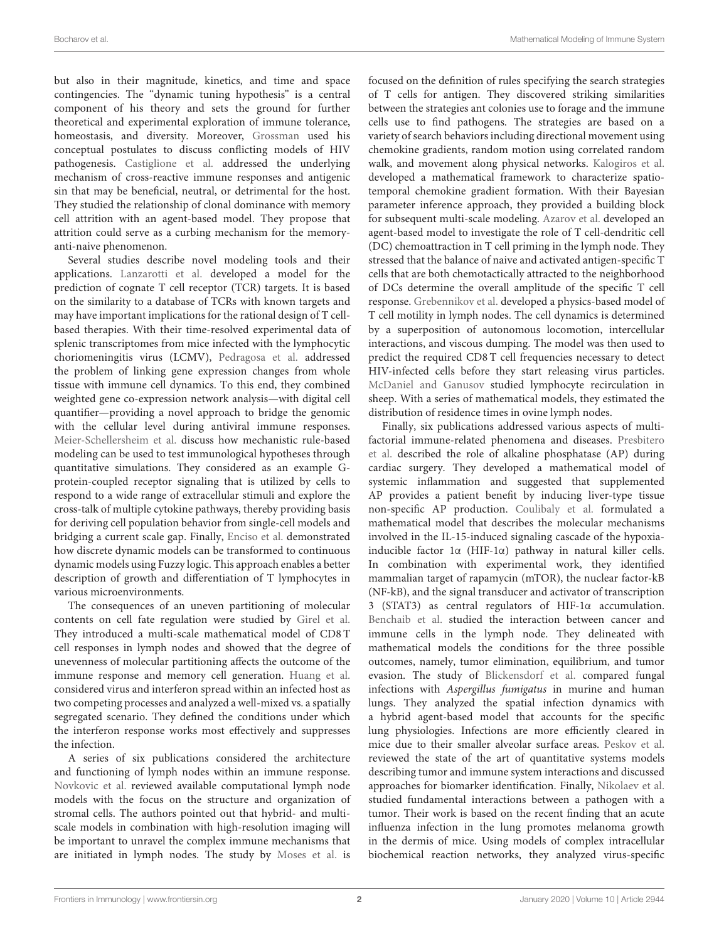but also in their magnitude, kinetics, and time and space contingencies. The "dynamic tuning hypothesis" is a central component of his theory and sets the ground for further theoretical and experimental exploration of immune tolerance, homeostasis, and diversity. Moreover, [Grossman](https://doi.org/10.3389/fimmu.2019.02522) used his conceptual postulates to discuss conflicting models of HIV pathogenesis. [Castiglione et al.](https://doi.org/10.3389/fimmu.2019.01513) addressed the underlying mechanism of cross-reactive immune responses and antigenic sin that may be beneficial, neutral, or detrimental for the host. They studied the relationship of clonal dominance with memory cell attrition with an agent-based model. They propose that attrition could serve as a curbing mechanism for the memoryanti-naive phenomenon.

Several studies describe novel modeling tools and their applications. [Lanzarotti et al.](https://doi.org/10.3389/fimmu.2019.02080) developed a model for the prediction of cognate T cell receptor (TCR) targets. It is based on the similarity to a database of TCRs with known targets and may have important implications for the rational design of T cellbased therapies. With their time-resolved experimental data of splenic transcriptomes from mice infected with the lymphocytic choriomeningitis virus (LCMV), [Pedragosa et al.](https://doi.org/10.3389/fimmu.2019.01002) addressed the problem of linking gene expression changes from whole tissue with immune cell dynamics. To this end, they combined weighted gene co-expression network analysis—with digital cell quantifier—providing a novel approach to bridge the genomic with the cellular level during antiviral immune responses. [Meier-Schellersheim et al.](https://doi.org/10.3389/fimmu.2019.02268) discuss how mechanistic rule-based modeling can be used to test immunological hypotheses through quantitative simulations. They considered as an example Gprotein-coupled receptor signaling that is utilized by cells to respond to a wide range of extracellular stimuli and explore the cross-talk of multiple cytokine pathways, thereby providing basis for deriving cell population behavior from single-cell models and bridging a current scale gap. Finally, [Enciso et al.](https://doi.org/10.3389/fimmu.2019.01927) demonstrated how discrete dynamic models can be transformed to continuous dynamic models using Fuzzy logic. This approach enables a better description of growth and differentiation of T lymphocytes in various microenvironments.

The consequences of an uneven partitioning of molecular contents on cell fate regulation were studied by [Girel et al.](https://doi.org/10.3389/fimmu.2019.00230) They introduced a multi-scale mathematical model of CD8 T cell responses in lymph nodes and showed that the degree of unevenness of molecular partitioning affects the outcome of the immune response and memory cell generation. [Huang et al.](https://doi.org/10.3389/fimmu.2019.01736) considered virus and interferon spread within an infected host as two competing processes and analyzed a well-mixed vs. a spatially segregated scenario. They defined the conditions under which the interferon response works most effectively and suppresses the infection.

A series of six publications considered the architecture and functioning of lymph nodes within an immune response. [Novkovic et al.](https://doi.org/10.3389/fimmu.2018.02428) reviewed available computational lymph node models with the focus on the structure and organization of stromal cells. The authors pointed out that hybrid- and multiscale models in combination with high-resolution imaging will be important to unravel the complex immune mechanisms that are initiated in lymph nodes. The study by [Moses et al.](https://doi.org/10.3389/fimmu.2019.01357) is focused on the definition of rules specifying the search strategies of T cells for antigen. They discovered striking similarities between the strategies ant colonies use to forage and the immune cells use to find pathogens. The strategies are based on a variety of search behaviors including directional movement using chemokine gradients, random motion using correlated random walk, and movement along physical networks. [Kalogiros et al.](https://doi.org/10.3389/fimmu.2019.01986) developed a mathematical framework to characterize spatiotemporal chemokine gradient formation. With their Bayesian parameter inference approach, they provided a building block for subsequent multi-scale modeling. [Azarov et al.](https://doi.org/10.3389/fimmu.2019.01289) developed an agent-based model to investigate the role of T cell-dendritic cell (DC) chemoattraction in T cell priming in the lymph node. They stressed that the balance of naive and activated antigen-specific T cells that are both chemotactically attracted to the neighborhood of DCs determine the overall amplitude of the specific T cell response. [Grebennikov et al.](https://doi.org/10.3389/fimmu.2019.01213) developed a physics-based model of T cell motility in lymph nodes. The cell dynamics is determined by a superposition of autonomous locomotion, intercellular interactions, and viscous dumping. The model was then used to predict the required CD8 T cell frequencies necessary to detect HIV-infected cells before they start releasing virus particles. [McDaniel and Ganusov](https://doi.org/10.3389/fimmu.2019.01492) studied lymphocyte recirculation in sheep. With a series of mathematical models, they estimated the distribution of residence times in ovine lymph nodes.

Finally, six publications addressed various aspects of multifactorial immune-related phenomena and diseases. Presbitero et al. [described the role of alkaline phosphatase \(AP\) during](https://doi.org/10.3389/fimmu.2018.02342) cardiac surgery. They developed a mathematical model of systemic inflammation and suggested that supplemented AP provides a patient benefit by inducing liver-type tissue non-specific AP production. [Coulibaly et al.](https://doi.org/10.3389/fimmu.2019.02401) formulated a mathematical model that describes the molecular mechanisms involved in the IL-15-induced signaling cascade of the hypoxiainducible factor 1α (HIF-1α) pathway in natural killer cells. In combination with experimental work, they identified mammalian target of rapamycin (mTOR), the nuclear factor-kB (NF-kB), and the signal transducer and activator of transcription 3 (STAT3) as central regulators of HIF-1α accumulation. [Benchaib et al.](https://doi.org/10.3389/fbioe.2019.00104) studied the interaction between cancer and immune cells in the lymph node. They delineated with mathematical models the conditions for the three possible outcomes, namely, tumor elimination, equilibrium, and tumor evasion. The study of [Blickensdorf et al.](https://doi.org/10.3389/fimmu.2019.00142) compared fungal infections with Aspergillus fumigatus in murine and human lungs. They analyzed the spatial infection dynamics with a hybrid agent-based model that accounts for the specific lung physiologies. Infections are more efficiently cleared in mice due to their smaller alveolar surface areas. [Peskov et al.](https://doi.org/10.3389/fimmu.2019.00924) reviewed the state of the art of quantitative systems models describing tumor and immune system interactions and discussed approaches for biomarker identification. Finally, [Nikolaev et al.](https://doi.org/10.3389/fimmu.2019.00004) studied fundamental interactions between a pathogen with a tumor. Their work is based on the recent finding that an acute influenza infection in the lung promotes melanoma growth in the dermis of mice. Using models of complex intracellular biochemical reaction networks, they analyzed virus-specific